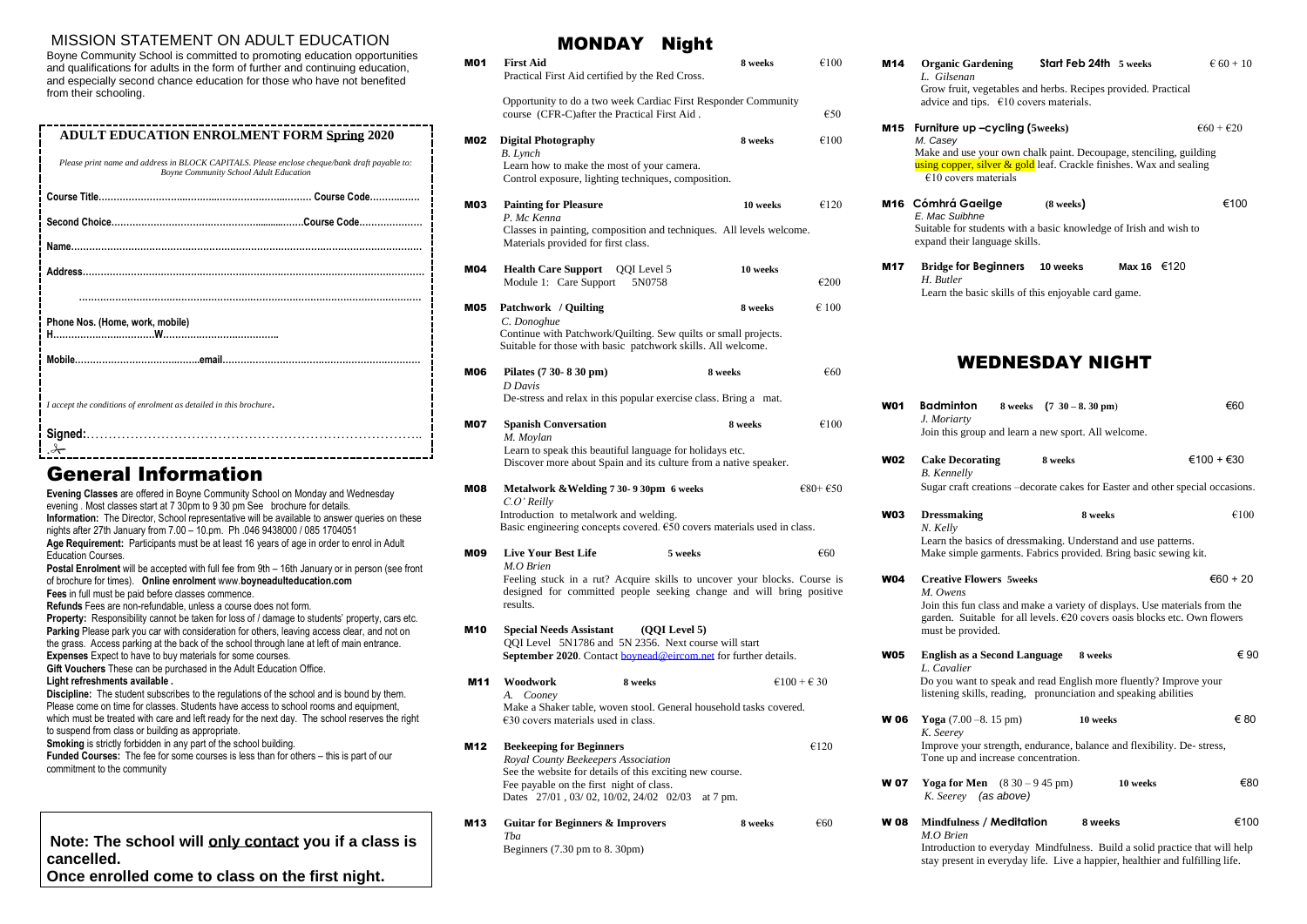#### MISSION STATEMENT ON ADULT EDUCATION

| <b>ADULT EDUCATION ENROLMENT FORM Spring 2020</b>                                                                                              |  |  |
|------------------------------------------------------------------------------------------------------------------------------------------------|--|--|
| Please print name and address in BLOCK CAPITALS. Please enclose cheque/bank draft payable to:<br><b>Boyne Community School Adult Education</b> |  |  |
|                                                                                                                                                |  |  |
|                                                                                                                                                |  |  |
|                                                                                                                                                |  |  |
|                                                                                                                                                |  |  |
|                                                                                                                                                |  |  |
| Phone Nos. (Home, work, mobile)<br>H……………………………W…………………………………                                                                                  |  |  |
|                                                                                                                                                |  |  |
| I accept the conditions of enrolment as detailed in this brochure.                                                                             |  |  |
|                                                                                                                                                |  |  |
| I.A <b>f</b> a sec<br>.                                                                                                                        |  |  |

Boyne Community School is committed to promoting education opportunities and qualifications for adults in the form of further and continuing education, and especially second chance education for those who have not benefited from their schooling.

## General Information

**Evening Classes** are offered in Boyne Community School on Monday and Wednesday evening . Most classes start at 7 30pm to 9 30 pm See brochure for details. **Information:** The Director, School representative will be available to answer queries on these nights after 27th January from 7.00 – 10.pm. Ph .046 9438000 / 085 1704051 **Age Requirement:** Participants must be at least 16 years of age in order to enrol in Adult Education Courses. **Postal Enrolment** will be accepted with full fee from 9th – 16th January or in person (see front of brochure for times). **Online enrolment** www.**boyneadulteducation.com Fees** in full must be paid before classes commence. **Refunds** Fees are non-refundable, unless a course does not form. **Property:** Responsibility cannot be taken for loss of / damage to students' property, cars etc. Parking Please park you car with consideration for others, leaving access clear, and not on the grass. Access parking at the back of the school through lane at left of main entrance. **Expenses** Expect to have to buy materials for some courses. **Gift Vouchers** These can be purchased in the Adult Education Office. **Light refreshments available . Discipline:** The student subscribes to the regulations of the school and is bound by them. Please come on time for classes. Students have access to school rooms and equipment, which must be treated with care and left ready for the next day. The school reserves the right to suspend from class or building as appropriate. **Smoking** is strictly forbidden in any part of the school building. **Funded Courses:** The fee for some courses is less than for others – this is part of our commitment to the community **Note: The school will only contact you if a class is cancelled. Once enrolled come to class on the first night.**

#### MONDAY Night

Integration to everyday Mindfulness. Build a solid practice that will help stay present in everyday life. Live a happier, healthier and fulfilling life.

**minton** 8 weeks (7 30 – 8. 30 pm) €60

| <b>MO1</b> | <b>First Aid</b><br>Practical First Aid certified by the Red Cross.                                                                                                                   | 8 weeks                        | €100                           | M14         | <b>Organic Garde</b><br>L. Gilsenan<br>Grow fruit, vege                                |
|------------|---------------------------------------------------------------------------------------------------------------------------------------------------------------------------------------|--------------------------------|--------------------------------|-------------|----------------------------------------------------------------------------------------|
|            | Opportunity to do a two week Cardiac First Responder Community<br>course (CFR-C)after the Practical First Aid.                                                                        |                                | €50                            |             | advice and tips.                                                                       |
| M02        | <b>Digital Photography</b><br><b>B.</b> Lynch<br>Learn how to make the most of your camera.<br>Control exposure, lighting techniques, composition.                                    | 8 weeks                        | €100                           | M15         | Furniture up-c<br>M. Casey<br>Make and use yo<br>using copper, silv<br>$€10$ covers ma |
| M03        | <b>Painting for Pleasure</b><br>P. Mc Kenna<br>Classes in painting, composition and techniques. All levels welcome.<br>Materials provided for first class.                            | 10 weeks                       | €120                           |             | M16 Cómhrá Gaeil<br>E. Mac Suibhne<br>Suitable for stude<br>expand their lang          |
| M04        | <b>Health Care Support</b><br>QQI Level 5<br>Module 1: Care Support<br>5N0758                                                                                                         | 10 weeks                       | €200                           | <b>M17</b>  | <b>Bridge for Beg</b><br>H. Butler<br>Learn the basic                                  |
| <b>M05</b> | Patchwork / Quilting<br>C. Donoghue<br>Continue with Patchwork/Quilting. Sew quilts or small projects.<br>Suitable for those with basic patchwork skills. All welcome.                | 8 weeks                        | $\epsilon$ 100                 |             |                                                                                        |
| M06        | Pilates (7 30- 8 30 pm)<br>D Davis                                                                                                                                                    | 8 weeks                        | €60                            |             | WEI                                                                                    |
| M07        | De-stress and relax in this popular exercise class. Bring a mat.<br><b>Spanish Conversation</b><br>M. Moylan                                                                          | 8 weeks                        | €100                           | <b>W01</b>  | <b>Badminton</b><br>J. Moriarty<br>Join this group a                                   |
|            | Learn to speak this beautiful language for holidays etc.<br>Discover more about Spain and its culture from a native speaker.                                                          |                                |                                | <b>W02</b>  | <b>Cake Decoration</b><br><b>B.</b> Kennelly                                           |
| <b>M08</b> | Metalwork & Welding 7 30- 9 30pm 6 weeks<br>$C.O'$ Reilly<br>Introduction to metalwork and welding.<br>Basic engineering concepts covered. $650$ covers materials used in class.      |                                | $\epsilon$ 80+ $\epsilon$ 50   | <b>W03</b>  | Sugar craft crea<br><b>Dressmaking</b><br>N. Kelly                                     |
| M09        | <b>Live Your Best Life</b><br>5 weeks<br>M.O Brien                                                                                                                                    |                                | €60                            |             | Learn the basics<br>Make simple ga                                                     |
| <b>M10</b> | Feeling stuck in a rut? Acquire skills to uncover your blocks. Course is<br>designed for committed people seeking change and will bring positive<br>results.                          |                                |                                |             | <b>Creative Flowe</b><br>M. Owens<br>Join this fun cla<br>garden. Suitabl              |
|            | <b>Special Needs Assistant</b><br>(QQI Level 5)<br>QQI Level 5N1786 and 5N 2356. Next course will start<br>September 2020. Contact boynead@eircom.net for further details.            |                                |                                | <b>W05</b>  | must be provide<br><b>English as a Se</b><br>L. Cavalier                               |
| <b>M11</b> | Woodwork<br>8 weeks<br>A. Cooney<br>Make a Shaker table, woven stool. General household tasks covered.                                                                                |                                | $\epsilon$ 100 + $\epsilon$ 30 |             | Do you want to<br>listening skills,                                                    |
| M12        | $€30$ covers materials used in class.<br><b>Beekeeping for Beginners</b>                                                                                                              |                                | €120                           | <b>W06</b>  | Yoga $(7.00 - 8.$<br>K. Seerey<br>Improve your st                                      |
|            | Royal County Beekeepers Association<br>See the website for details of this exciting new course.<br>Fee payable on the first night of class.<br>Dates 27/01, 03/02, 10/02, 24/02 02/03 |                                |                                | <b>W 07</b> | Tone up and inc<br><b>Yoga for Men</b><br>K. Seerey (as                                |
| M13        | <b>Guitar for Beginners &amp; Improvers</b><br>Tba                                                                                                                                    | at $7 \text{ pm}$ .<br>8 weeks | $\epsilon$ 60                  | <b>W08</b>  | Mindfulness /<br>M.O Brien                                                             |
|            | Beginners (7.30 pm to 8. 30pm)                                                                                                                                                        |                                |                                |             | Introduction to                                                                        |

#### anic Gardening **Start Feb 24th 5 weeks**  $\epsilon$  60 + 10

w fruit, vegetables and herbs. Recipes provided. Practical ce and tips.  $\epsilon$ 10 covers materials.

#### $\angle E = 60 + 20$  **Furniture up –cycling (** $\angle$  5weeks)

and use your own chalk paint. Decoupage, stenciling, guilding copper, silver  $\&$  gold leaf. Crackle finishes. Wax and sealing covers materials

#### M16 **Cómhrá Gaeilge (8 weeks)** €100

ble for students with a basic knowledge of Irish and wish to d their language skills.

**Ige for Beginners 10 weeks Max 16** €120

In the basic skills of this enjoyable card game.

### WEDNESDAY NIGHT

| <i>loriarty</i><br>this group and learn a new sport. All welcome.                                                                            |          |          |            |
|----------------------------------------------------------------------------------------------------------------------------------------------|----------|----------|------------|
| ke Decorating<br><i>cennelly</i>                                                                                                             | 8 weeks  |          | €100 + €30 |
| ar craft creations -decorate cakes for Easter and other special occasions.                                                                   |          |          |            |
| ssmaking                                                                                                                                     | 8 weeks  |          | €100       |
| <i>Zelly</i><br>ern the basics of dressmaking. Understand and use patterns.<br>te simple garments. Fabrics provided. Bring basic sewing kit. |          |          |            |
| ative Flowers 5weeks<br>Owens<br>this fun class and make a variety of displays. Use materials from the                                       |          |          | €60 + 20   |
| len. Suitable for all levels. $\epsilon$ 20 covers oasis blocks etc. Own flowers<br>t be provided.                                           |          |          |            |
| Ish as a Second Language 8 weeks<br>avalier!                                                                                                 |          |          | € 90       |
| you want to speak and read English more fluently? Improve your<br>ening skills, reading, pronunciation and speaking abilities                |          |          |            |
| $(a (7.00 - 8.15)$ pm)<br>eerey                                                                                                              | 10 weeks |          | € 80       |
| rove your strength, endurance, balance and flexibility. De-stress,<br>e up and increase concentration.                                       |          |          |            |
| ga for Men $(830 - 945)$ pm)<br>Seerey (as above)                                                                                            |          | 10 weeks | €80        |
| dfulness / Meditation                                                                                                                        | 8 weeks  |          | €100       |